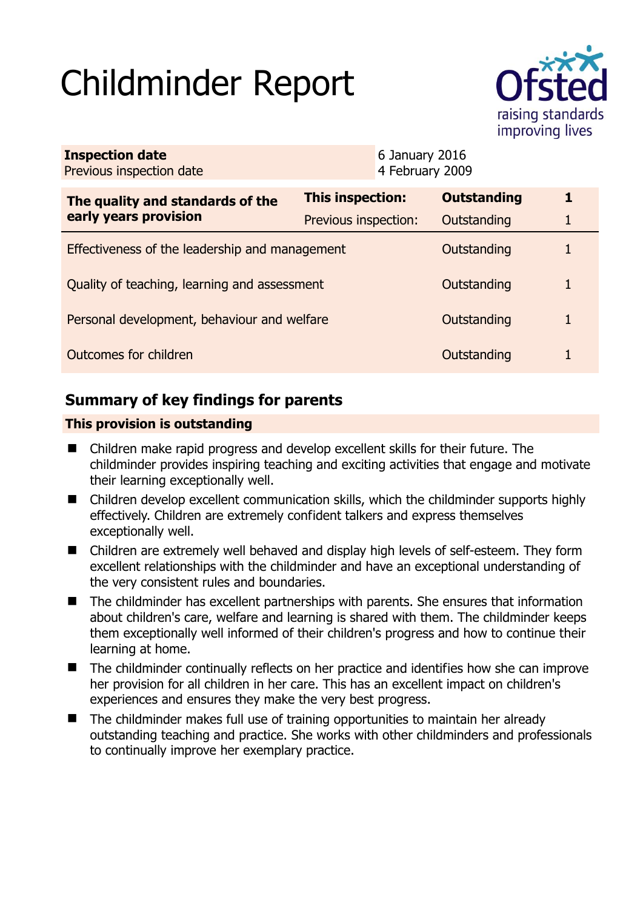# Childminder Report



| <b>Inspection date</b><br>Previous inspection date        |                      | 6 January 2016<br>4 February 2009 |                    |   |
|-----------------------------------------------------------|----------------------|-----------------------------------|--------------------|---|
| The quality and standards of the<br>early years provision | This inspection:     |                                   | <b>Outstanding</b> | 1 |
|                                                           | Previous inspection: |                                   | Outstanding        |   |
| Effectiveness of the leadership and management            |                      |                                   | Outstanding        |   |
| Quality of teaching, learning and assessment              |                      |                                   | Outstanding        |   |
| Personal development, behaviour and welfare               |                      |                                   | Outstanding        |   |
| Outcomes for children                                     |                      |                                   | Outstanding        |   |

# **Summary of key findings for parents**

## **This provision is outstanding**

- Children make rapid progress and develop excellent skills for their future. The childminder provides inspiring teaching and exciting activities that engage and motivate their learning exceptionally well.
- Children develop excellent communication skills, which the childminder supports highly effectively. Children are extremely confident talkers and express themselves exceptionally well.
- Children are extremely well behaved and display high levels of self-esteem. They form excellent relationships with the childminder and have an exceptional understanding of the very consistent rules and boundaries.
- The childminder has excellent partnerships with parents. She ensures that information about children's care, welfare and learning is shared with them. The childminder keeps them exceptionally well informed of their children's progress and how to continue their learning at home.
- The childminder continually reflects on her practice and identifies how she can improve her provision for all children in her care. This has an excellent impact on children's experiences and ensures they make the very best progress.
- The childminder makes full use of training opportunities to maintain her already outstanding teaching and practice. She works with other childminders and professionals to continually improve her exemplary practice.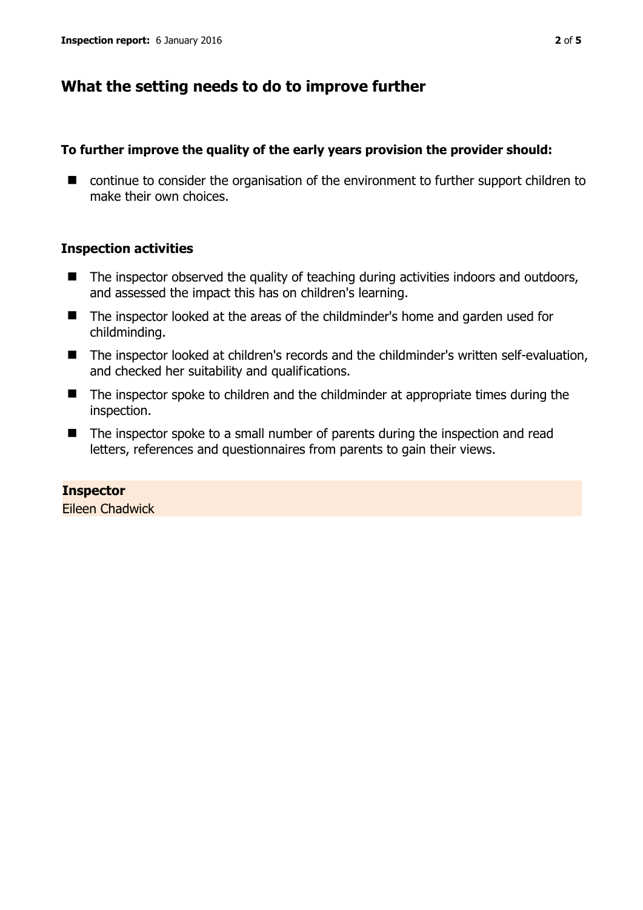## **What the setting needs to do to improve further**

## **To further improve the quality of the early years provision the provider should:**

■ continue to consider the organisation of the environment to further support children to make their own choices.

## **Inspection activities**

- $\blacksquare$  The inspector observed the quality of teaching during activities indoors and outdoors, and assessed the impact this has on children's learning.
- The inspector looked at the areas of the childminder's home and garden used for childminding.
- The inspector looked at children's records and the childminder's written self-evaluation, and checked her suitability and qualifications.
- The inspector spoke to children and the childminder at appropriate times during the inspection.
- The inspector spoke to a small number of parents during the inspection and read letters, references and questionnaires from parents to gain their views.

**Inspector**  Eileen Chadwick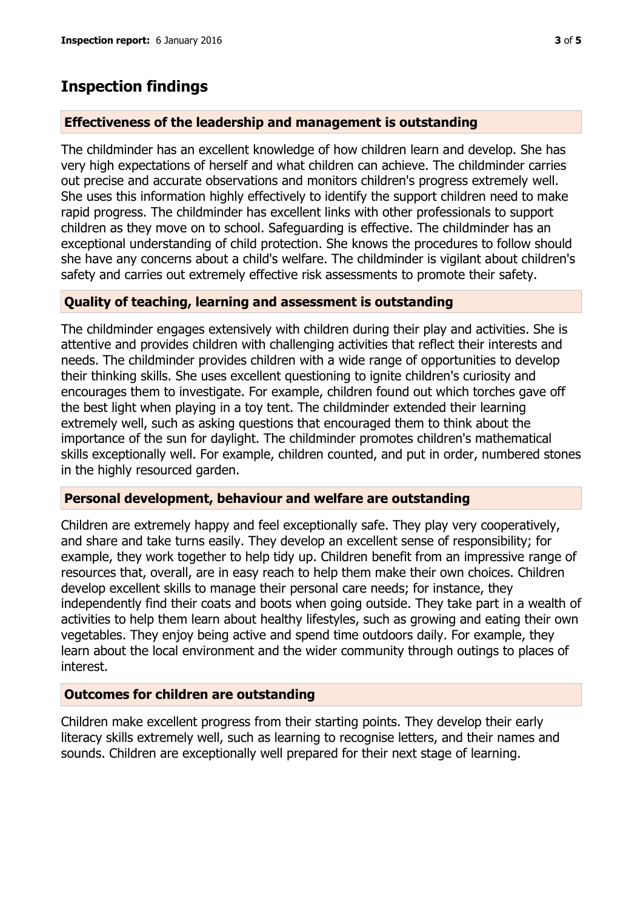## **Inspection findings**

#### **Effectiveness of the leadership and management is outstanding**

The childminder has an excellent knowledge of how children learn and develop. She has very high expectations of herself and what children can achieve. The childminder carries out precise and accurate observations and monitors children's progress extremely well. She uses this information highly effectively to identify the support children need to make rapid progress. The childminder has excellent links with other professionals to support children as they move on to school. Safeguarding is effective. The childminder has an exceptional understanding of child protection. She knows the procedures to follow should she have any concerns about a child's welfare. The childminder is vigilant about children's safety and carries out extremely effective risk assessments to promote their safety.

#### **Quality of teaching, learning and assessment is outstanding**

The childminder engages extensively with children during their play and activities. She is attentive and provides children with challenging activities that reflect their interests and needs. The childminder provides children with a wide range of opportunities to develop their thinking skills. She uses excellent questioning to ignite children's curiosity and encourages them to investigate. For example, children found out which torches gave off the best light when playing in a toy tent. The childminder extended their learning extremely well, such as asking questions that encouraged them to think about the importance of the sun for daylight. The childminder promotes children's mathematical skills exceptionally well. For example, children counted, and put in order, numbered stones in the highly resourced garden.

#### **Personal development, behaviour and welfare are outstanding**

Children are extremely happy and feel exceptionally safe. They play very cooperatively, and share and take turns easily. They develop an excellent sense of responsibility; for example, they work together to help tidy up. Children benefit from an impressive range of resources that, overall, are in easy reach to help them make their own choices. Children develop excellent skills to manage their personal care needs; for instance, they independently find their coats and boots when going outside. They take part in a wealth of activities to help them learn about healthy lifestyles, such as growing and eating their own vegetables. They enjoy being active and spend time outdoors daily. For example, they learn about the local environment and the wider community through outings to places of interest.

#### **Outcomes for children are outstanding**

Children make excellent progress from their starting points. They develop their early literacy skills extremely well, such as learning to recognise letters, and their names and sounds. Children are exceptionally well prepared for their next stage of learning.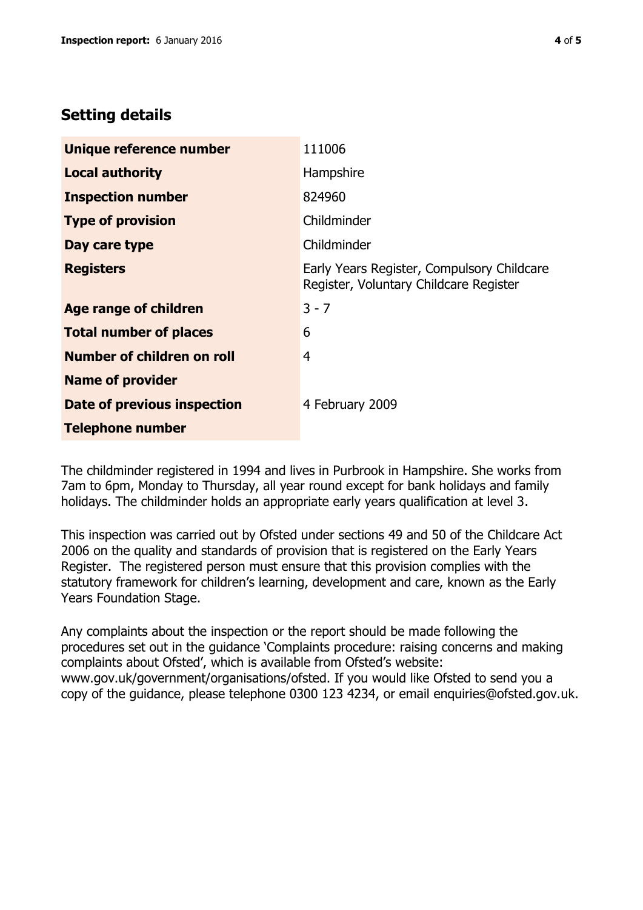# **Setting details**

| Unique reference number       | 111006                                                                               |  |
|-------------------------------|--------------------------------------------------------------------------------------|--|
| <b>Local authority</b>        | Hampshire                                                                            |  |
| <b>Inspection number</b>      | 824960                                                                               |  |
| <b>Type of provision</b>      | Childminder                                                                          |  |
| Day care type                 | Childminder                                                                          |  |
| <b>Registers</b>              | Early Years Register, Compulsory Childcare<br>Register, Voluntary Childcare Register |  |
| Age range of children         | $3 - 7$                                                                              |  |
| <b>Total number of places</b> | 6                                                                                    |  |
| Number of children on roll    | 4                                                                                    |  |
| <b>Name of provider</b>       |                                                                                      |  |
| Date of previous inspection   | 4 February 2009                                                                      |  |
| <b>Telephone number</b>       |                                                                                      |  |

The childminder registered in 1994 and lives in Purbrook in Hampshire. She works from 7am to 6pm, Monday to Thursday, all year round except for bank holidays and family holidays. The childminder holds an appropriate early years qualification at level 3.

This inspection was carried out by Ofsted under sections 49 and 50 of the Childcare Act 2006 on the quality and standards of provision that is registered on the Early Years Register. The registered person must ensure that this provision complies with the statutory framework for children's learning, development and care, known as the Early Years Foundation Stage.

Any complaints about the inspection or the report should be made following the procedures set out in the guidance 'Complaints procedure: raising concerns and making complaints about Ofsted', which is available from Ofsted's website: www.gov.uk/government/organisations/ofsted. If you would like Ofsted to send you a copy of the guidance, please telephone 0300 123 4234, or email enquiries@ofsted.gov.uk.